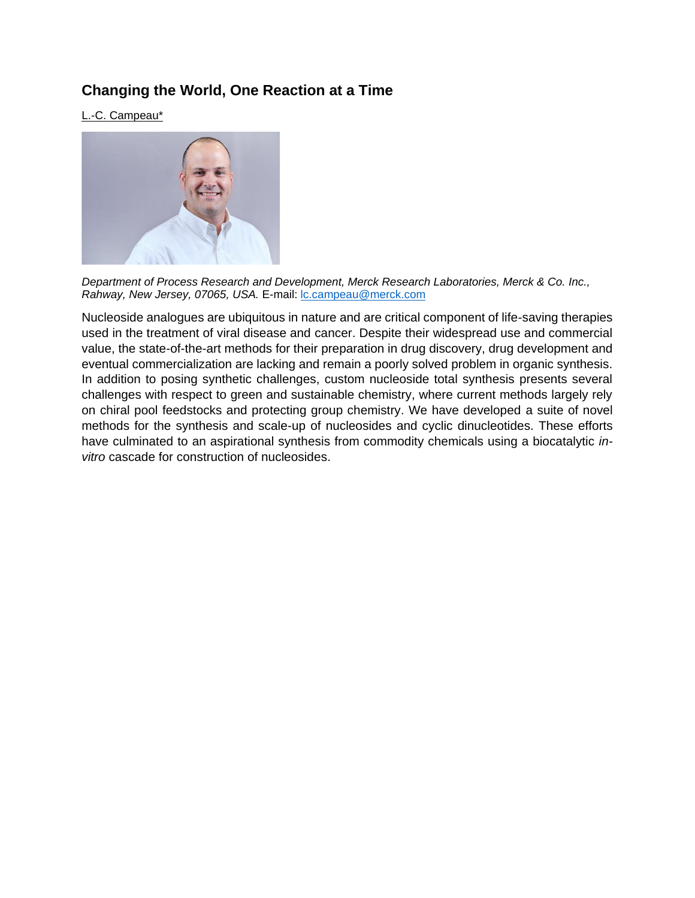## **Changing the World, One Reaction at a Time**

L.-C. Campeau\*



*Department of Process Research and Development, Merck Research Laboratories, Merck & Co. Inc., Rahway, New Jersey, 07065, USA.* E-mail: [lc.campeau@merck.com](mailto:lc.campeau@merck.com)

Nucleoside analogues are ubiquitous in nature and are critical component of life-saving therapies used in the treatment of viral disease and cancer. Despite their widespread use and commercial value, the state-of-the-art methods for their preparation in drug discovery, drug development and eventual commercialization are lacking and remain a poorly solved problem in organic synthesis. In addition to posing synthetic challenges, custom nucleoside total synthesis presents several challenges with respect to green and sustainable chemistry, where current methods largely rely on chiral pool feedstocks and protecting group chemistry. We have developed a suite of novel methods for the synthesis and scale-up of nucleosides and cyclic dinucleotides. These efforts have culminated to an aspirational synthesis from commodity chemicals using a biocatalytic *invitro* cascade for construction of nucleosides.